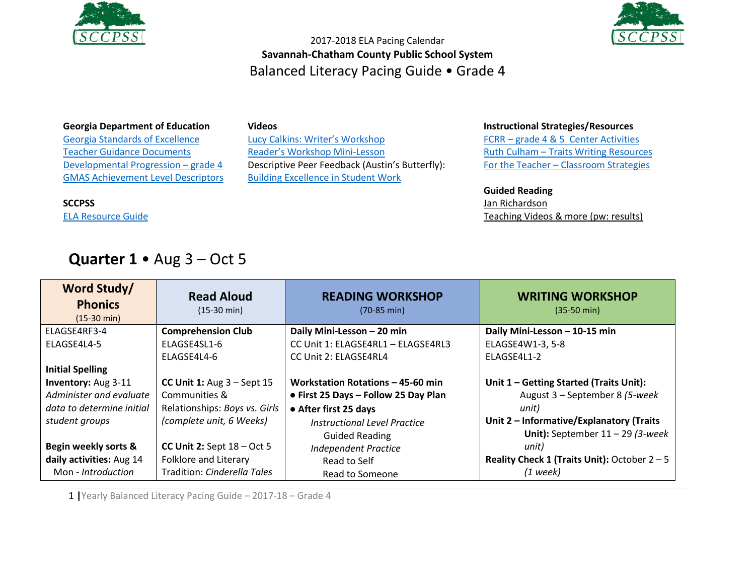



#### **Georgia Department of Education**

[Georgia Standards of Excellence](https://drive.google.com/open?id=0B9TBXLcHMe3WNmhEaVZjeTctOWM) [Teacher Guidance Documents](https://drive.google.com/open?id=0B9TBXLcHMe3WR0E1c09QNzZRYmc) [Developmental Progression](https://drive.google.com/open?id=0B9TBXLcHMe3WOTNDMVE0bktWbjg) – grade 4 [GMAS Achievement Level Descriptors](https://www.gadoe.org/Curriculum-Instruction-and-Assessment/Assessment/Documents/Milestones/ALD/ALDS_for_Grade_4_Milestones_EOG_ELA.pdf)

#### **SCCPSS**

[ELA Resource Guide](https://drive.google.com/file/d/0B3Uu6Ml6RRkDQXR5eWJlU1pwQmM/view)

#### **Videos**

[Lucy Calkins: Writer's Workshop](https://www.youtube.com/watch?v=zPRM2ZXyrS0&list=PLb5RXypPqP5sNAYNUDEfwaq2QYPauhCcc) [Reader's Workshop Mini](https://www.youtube.com/watch?v=x-wGHenBAEc&index=13&list=PL1R9MLStsjiGBNHPeCMUidYAVX0_1GwNj)-Lesson Descriptive Peer Feedback (Austin's Butterfly): [Building Excellence in Student Work](https://vimeo.com/38247060)

### **Instructional Strategies/Resources**

FCRR – [grade 4 & 5 Center Activities](http://www.fcrr.org/resources/resources_sca_4-5.html)  Ruth Culham – [Traits Writing Resources](http://www.culhamwriting.com/LIBRARY/RESOURCES/scoringguides.html) For the Teacher – [Classroom Strategies](http://www.fortheteachers.org/instructional_strategies/)

#### **Guided Reading**

[Jan Richardson](http://www.janrichardsonguidedreading.com/home) [Teaching Videos & more \(pw: results\)](http://www.scholastic.com/NSFresources/)

# **Quarter 1** • Aug 3 – Oct 5

| Word Study/<br><b>Phonics</b><br>$(15-30 \text{ min})$ | <b>Read Aloud</b><br>$(15-30 \text{ min})$ | <b>READING WORKSHOP</b><br>$(70-85 \text{ min})$ | <b>WRITING WORKSHOP</b><br>$(35-50 \text{ min})$ |
|--------------------------------------------------------|--------------------------------------------|--------------------------------------------------|--------------------------------------------------|
| ELAGSE4RF3-4                                           | <b>Comprehension Club</b>                  | Daily Mini-Lesson - 20 min                       | Daily Mini-Lesson - 10-15 min                    |
| ELAGSE4L4-5                                            | ELAGSE4SL1-6                               | CC Unit 1: ELAGSE4RL1 - ELAGSE4RL3               | ELAGSE4W1-3, 5-8                                 |
|                                                        | ELAGSE4L4-6                                | CC Unit 2: ELAGSE4RL4                            | ELAGSE4L1-2                                      |
| <b>Initial Spelling</b>                                |                                            |                                                  |                                                  |
| Inventory: Aug 3-11                                    | CC Unit 1: Aug $3 -$ Sept 15               | Workstation Rotations - 45-60 min                | Unit 1 - Getting Started (Traits Unit):          |
| Administer and evaluate                                | Communities &                              | • First 25 Days - Follow 25 Day Plan             | August 3 - September 8 (5-week                   |
| data to determine initial                              | Relationships: Boys vs. Girls              | • After first 25 days                            | unit)                                            |
| student groups                                         | (complete unit, 6 Weeks)                   | Instructional Level Practice                     | Unit 2 - Informative/Explanatory (Traits         |
|                                                        |                                            | <b>Guided Reading</b>                            | Unit): September $11 - 29$ (3-week               |
| Begin weekly sorts &                                   | CC Unit 2: Sept $18 - Oct 5$               | <b>Independent Practice</b>                      | unit)                                            |
| daily activities: Aug 14                               | Folklore and Literary                      | Read to Self                                     | Reality Check 1 (Traits Unit): October $2 - 5$   |
| Mon - Introduction                                     | Tradition: Cinderella Tales                | Read to Someone                                  | $(1$ week)                                       |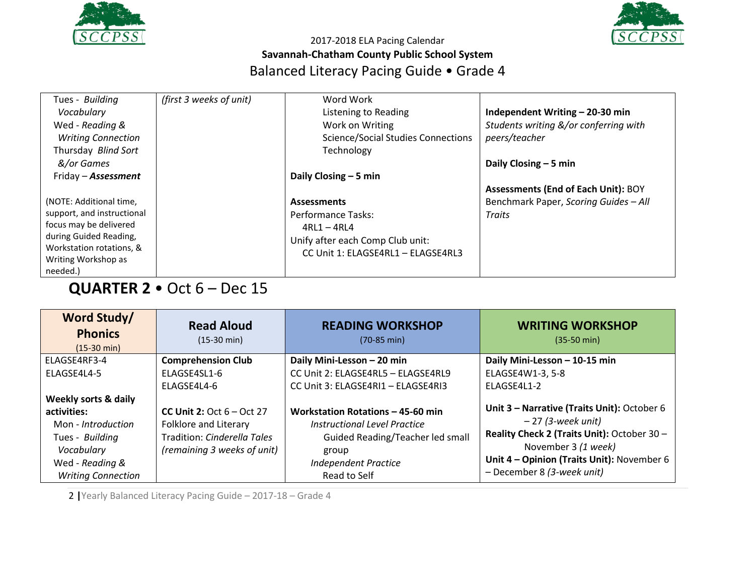



| Tues - Building            | (first 3 weeks of unit) | Word Work                                 |                                            |
|----------------------------|-------------------------|-------------------------------------------|--------------------------------------------|
| Vocabulary                 |                         | Listening to Reading                      | Independent Writing - 20-30 min            |
| Wed - Reading &            |                         | Work on Writing                           | Students writing &/or conferring with      |
| <b>Writing Connection</b>  |                         | <b>Science/Social Studies Connections</b> | peers/teacher                              |
| Thursday Blind Sort        |                         | Technology                                |                                            |
| &/or Games                 |                         |                                           | Daily Closing $-5$ min                     |
| Friday - <b>Assessment</b> |                         | Daily Closing $-5$ min                    |                                            |
|                            |                         |                                           | <b>Assessments (End of Each Unit): BOY</b> |
| (NOTE: Additional time,    |                         | <b>Assessments</b>                        | Benchmark Paper, Scoring Guides - All      |
| support, and instructional |                         | Performance Tasks:                        | <b>Traits</b>                              |
| focus may be delivered     |                         | $4RL1 - 4RL4$                             |                                            |
| during Guided Reading,     |                         | Unify after each Comp Club unit:          |                                            |
| Workstation rotations, &   |                         | CC Unit 1: ELAGSE4RL1 - ELAGSE4RL3        |                                            |
| Writing Workshop as        |                         |                                           |                                            |
| needed.)                   |                         |                                           |                                            |

# **QUARTER 2** • Oct 6 – Dec 15

| Word Study/<br><b>Phonics</b><br>$(15-30 \text{ min})$                        | <b>Read Aloud</b><br>$(15-30 \text{ min})$                 | <b>READING WORKSHOP</b><br>$(70-85 \text{ min})$                                         | <b>WRITING WORKSHOP</b><br>$(35-50 \text{ min})$                                                                                               |
|-------------------------------------------------------------------------------|------------------------------------------------------------|------------------------------------------------------------------------------------------|------------------------------------------------------------------------------------------------------------------------------------------------|
| ELAGSE4RF3-4                                                                  | <b>Comprehension Club</b>                                  | Daily Mini-Lesson - 20 min                                                               | Daily Mini-Lesson - 10-15 min                                                                                                                  |
| <b>FLAGSF4L4-5</b>                                                            | ELAGSE4SL1-6                                               | CC Unit 2: ELAGSE4RL5 - ELAGSE4RL9                                                       | ELAGSE4W1-3, 5-8                                                                                                                               |
|                                                                               | <b>FLAGSF4L4-6</b>                                         | CC Unit 3: ELAGSE4RI1 - ELAGSE4RI3                                                       | FLAGSF4L1-2                                                                                                                                    |
| <b>Weekly sorts &amp; daily</b><br>activities:<br>Mon - Introduction          | CC Unit 2: $Oct 6 - Oct 27$<br>Folklore and Literary       | Workstation Rotations - 45-60 min<br>Instructional Level Practice                        | Unit 3 - Narrative (Traits Unit): October 6<br>– 27 (3-week unit)                                                                              |
| Tues - Building<br>Vocabulary<br>Wed - Reading &<br><b>Writing Connection</b> | Tradition: Cinderella Tales<br>(remaining 3 weeks of unit) | Guided Reading/Teacher led small<br>group<br><b>Independent Practice</b><br>Read to Self | Reality Check 2 (Traits Unit): October 30 -<br>November 3 (1 week)<br>Unit 4 - Opinion (Traits Unit): November 6<br>- December 8 (3-week unit) |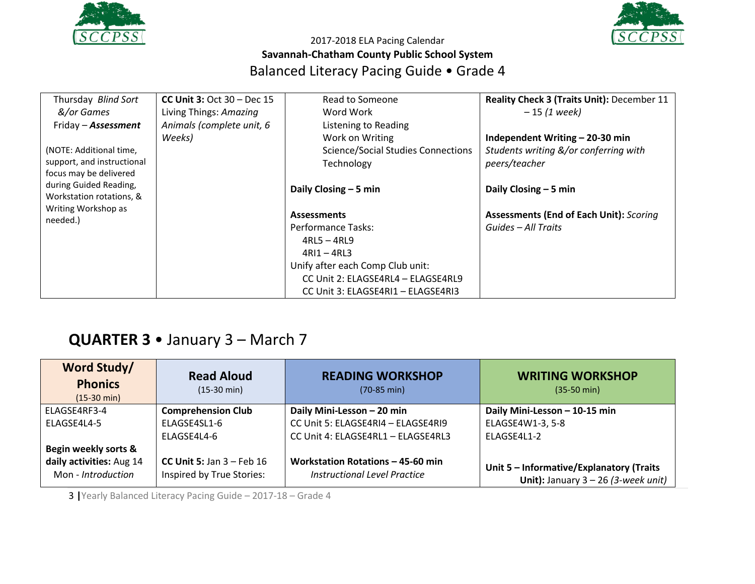



| Thursday Blind Sort             | CC Unit $3:$ Oct $30$ – Dec 15 | Read to Someone                           | Reality Check 3 (Traits Unit): December 11     |
|---------------------------------|--------------------------------|-------------------------------------------|------------------------------------------------|
| &/or Games                      | Living Things: Amazing         | Word Work                                 | $-15(1$ week)                                  |
| Friday - Assessment             | Animals (complete unit, 6      | Listening to Reading                      |                                                |
|                                 | Weeks)                         | Work on Writing                           | Independent Writing - 20-30 min                |
| (NOTE: Additional time,         |                                | <b>Science/Social Studies Connections</b> | Students writing &/or conferring with          |
| support, and instructional      |                                | Technology                                | peers/teacher                                  |
| focus may be delivered          |                                |                                           |                                                |
| during Guided Reading,          |                                | Daily Closing $-5$ min                    | Daily Closing $-5$ min                         |
| Workstation rotations, &        |                                |                                           |                                                |
| Writing Workshop as<br>needed.) |                                | <b>Assessments</b>                        | <b>Assessments (End of Each Unit): Scoring</b> |
|                                 |                                | Performance Tasks:                        | Guides - All Traits                            |
|                                 |                                | $4RL5 - 4RL9$                             |                                                |
|                                 |                                | $4RI1 - 4RI3$                             |                                                |
|                                 |                                | Unify after each Comp Club unit:          |                                                |
|                                 |                                | CC Unit 2: ELAGSE4RL4 - ELAGSE4RL9        |                                                |
|                                 |                                | CC Unit 3: ELAGSE4RI1 - ELAGSE4RI3        |                                                |

# **QUARTER 3** • January 3 – March 7

| Word Study/<br><b>Phonics</b><br>$(15-30 \text{ min})$ | <b>Read Aloud</b><br>$(15-30 \text{ min})$               | <b>READING WORKSHOP</b><br>$(70-85 \text{ min})$                  | <b>WRITING WORKSHOP</b><br>$(35-50 \text{ min})$                                  |
|--------------------------------------------------------|----------------------------------------------------------|-------------------------------------------------------------------|-----------------------------------------------------------------------------------|
| ELAGSE4RF3-4                                           | <b>Comprehension Club</b>                                | Daily Mini-Lesson - 20 min                                        | Daily Mini-Lesson - 10-15 min                                                     |
| ELAGSE4L4-5                                            | ELAGSE4SL1-6                                             | CC Unit 5: ELAGSE4RI4 - ELAGSE4RI9                                | ELAGSE4W1-3, 5-8                                                                  |
|                                                        | FLAGSE4L4-6                                              | CC Unit 4: ELAGSE4RL1 - ELAGSE4RL3                                | FLAGSF4L1-2                                                                       |
| Begin weekly sorts &                                   |                                                          |                                                                   |                                                                                   |
| daily activities: Aug 14<br>Mon - Introduction         | CC Unit 5: Jan $3$ – Feb 16<br>Inspired by True Stories: | Workstation Rotations - 45-60 min<br>Instructional Level Practice | Unit 5 - Informative/Explanatory (Traits<br>Unit): January $3 - 26$ (3-week unit) |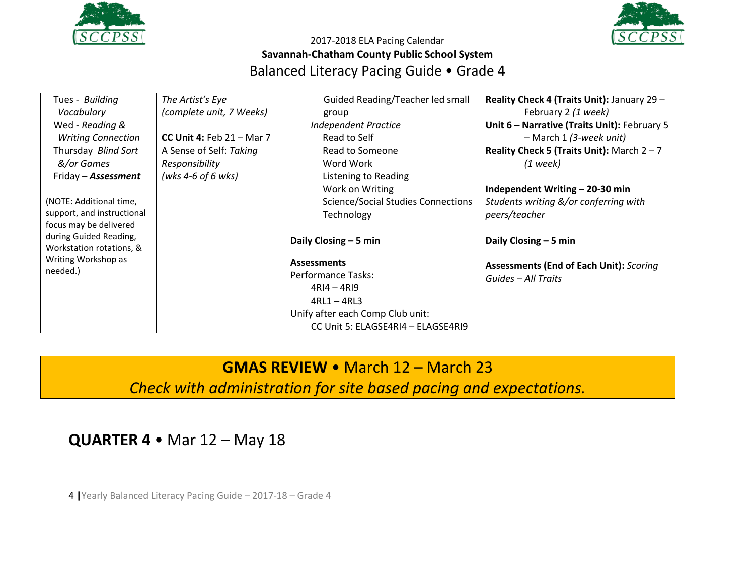



| Tues - Building                                 | The Artist's Eye            | Guided Reading/Teacher led small          | Reality Check 4 (Traits Unit): January 29 -    |
|-------------------------------------------------|-----------------------------|-------------------------------------------|------------------------------------------------|
| Vocabulary                                      | (complete unit, 7 Weeks)    | group                                     | February 2 (1 week)                            |
| Wed - Reading &                                 |                             | <b>Independent Practice</b>               | Unit 6 - Narrative (Traits Unit): February 5   |
| <b>Writing Connection</b>                       | CC Unit 4: Feb $21 -$ Mar 7 | Read to Self                              | $-$ March 1 (3-week unit)                      |
| Thursday Blind Sort                             | A Sense of Self: Taking     | Read to Someone                           | Reality Check 5 (Traits Unit): March $2 - 7$   |
| &/or Games                                      | Responsibility              | Word Work                                 | $(1$ week)                                     |
| Friday - Assessment                             | (wks 4-6 of 6 wks)          | Listening to Reading                      |                                                |
|                                                 |                             | Work on Writing                           | Independent Writing - 20-30 min                |
| (NOTE: Additional time,                         |                             | <b>Science/Social Studies Connections</b> | Students writing &/or conferring with          |
| support, and instructional                      |                             | Technology                                | peers/teacher                                  |
| focus may be delivered                          |                             |                                           |                                                |
| during Guided Reading,                          |                             | Daily Closing $-5$ min                    | Daily Closing $-5$ min                         |
| Workstation rotations, &<br>Writing Workshop as |                             |                                           |                                                |
| needed.)                                        |                             | <b>Assessments</b>                        | <b>Assessments (End of Each Unit): Scoring</b> |
|                                                 |                             | Performance Tasks:                        | Guides - All Traits                            |
|                                                 |                             | $4RI4 - 4RI9$                             |                                                |
|                                                 |                             | $4RL1 - 4RL3$                             |                                                |
|                                                 |                             | Unify after each Comp Club unit:          |                                                |
|                                                 |                             | CC Unit 5: ELAGSE4RI4 - ELAGSE4RI9        |                                                |

## **GMAS REVIEW** • March 12 – March 23

*Check with administration for site based pacing and expectations.*

**QUARTER 4** • Mar 12 – May 18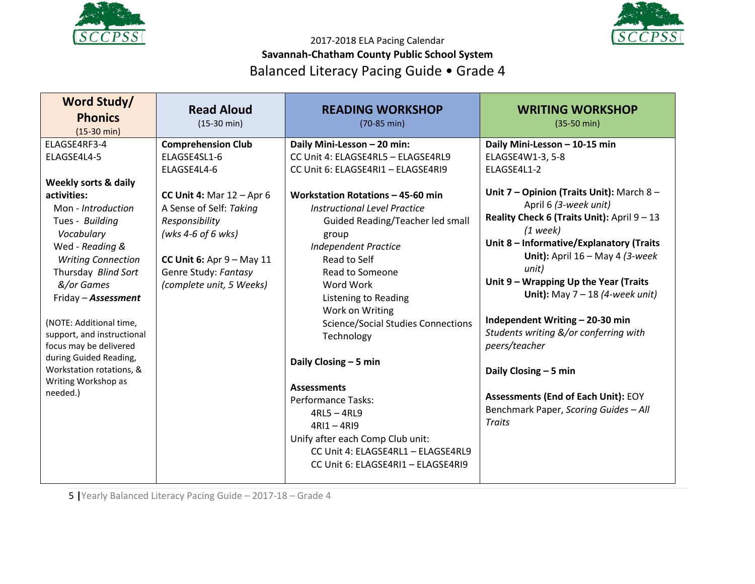



| Word Study/<br><b>Phonics</b><br>$(15-30 \text{ min})$                                                                                                                                                                                                                                                                                                                                                            | <b>Read Aloud</b><br>$(15-30 \text{ min})$                                                                                                                                                                                                    | <b>READING WORKSHOP</b><br>$(70-85 \text{ min})$                                                                                                                                                                                                                                                                                                                                                                                                                                                                                                                                                                                             | <b>WRITING WORKSHOP</b><br>$(35-50 \text{ min})$                                                                                                                                                                                                                                                                                                                                                                                                                                                                                                                                                          |
|-------------------------------------------------------------------------------------------------------------------------------------------------------------------------------------------------------------------------------------------------------------------------------------------------------------------------------------------------------------------------------------------------------------------|-----------------------------------------------------------------------------------------------------------------------------------------------------------------------------------------------------------------------------------------------|----------------------------------------------------------------------------------------------------------------------------------------------------------------------------------------------------------------------------------------------------------------------------------------------------------------------------------------------------------------------------------------------------------------------------------------------------------------------------------------------------------------------------------------------------------------------------------------------------------------------------------------------|-----------------------------------------------------------------------------------------------------------------------------------------------------------------------------------------------------------------------------------------------------------------------------------------------------------------------------------------------------------------------------------------------------------------------------------------------------------------------------------------------------------------------------------------------------------------------------------------------------------|
| ELAGSE4RF3-4<br>ELAGSE4L4-5<br>Weekly sorts & daily<br>activities:<br>Mon - Introduction<br>Tues - Building<br>Vocabulary<br>Wed - Reading &<br><b>Writing Connection</b><br>Thursday Blind Sort<br>&/or Games<br>Friday - Assessment<br>(NOTE: Additional time,<br>support, and instructional<br>focus may be delivered<br>during Guided Reading,<br>Workstation rotations, &<br>Writing Workshop as<br>needed.) | <b>Comprehension Club</b><br>ELAGSE4SL1-6<br>ELAGSE4L4-6<br>CC Unit 4: Mar $12 -$ Apr 6<br>A Sense of Self: Taking<br>Responsibility<br>(wks 4-6 of 6 wks)<br>CC Unit 6: Apr $9 - May 11$<br>Genre Study: Fantasy<br>(complete unit, 5 Weeks) | Daily Mini-Lesson - 20 min:<br>CC Unit 4: ELAGSE4RL5 - ELAGSE4RL9<br>CC Unit 6: ELAGSE4RI1 - ELAGSE4RI9<br>Workstation Rotations - 45-60 min<br><b>Instructional Level Practice</b><br>Guided Reading/Teacher led small<br>group<br><b>Independent Practice</b><br>Read to Self<br>Read to Someone<br>Word Work<br>Listening to Reading<br>Work on Writing<br><b>Science/Social Studies Connections</b><br>Technology<br>Daily Closing - 5 min<br><b>Assessments</b><br>Performance Tasks:<br>$4RL5 - 4RL9$<br>$4RI1 - 4RI9$<br>Unify after each Comp Club unit:<br>CC Unit 4: ELAGSE4RL1 - ELAGSE4RL9<br>CC Unit 6: ELAGSE4RI1 - ELAGSE4RI9 | Daily Mini-Lesson - 10-15 min<br>ELAGSE4W1-3, 5-8<br>ELAGSE4L1-2<br>Unit 7 - Opinion (Traits Unit): March 8 -<br>April 6 (3-week unit)<br>Reality Check 6 (Traits Unit): April 9 - 13<br>$(1$ week)<br>Unit 8 - Informative/Explanatory (Traits<br>Unit): April $16 - May 4$ (3-week<br>unit)<br>Unit 9 - Wrapping Up the Year (Traits<br>Unit): May $7 - 18$ (4-week unit)<br>Independent Writing - 20-30 min<br>Students writing &/or conferring with<br>peers/teacher<br>Daily Closing - 5 min<br><b>Assessments (End of Each Unit): EOY</b><br>Benchmark Paper, Scoring Guides - All<br><b>Traits</b> |
|                                                                                                                                                                                                                                                                                                                                                                                                                   |                                                                                                                                                                                                                                               |                                                                                                                                                                                                                                                                                                                                                                                                                                                                                                                                                                                                                                              |                                                                                                                                                                                                                                                                                                                                                                                                                                                                                                                                                                                                           |